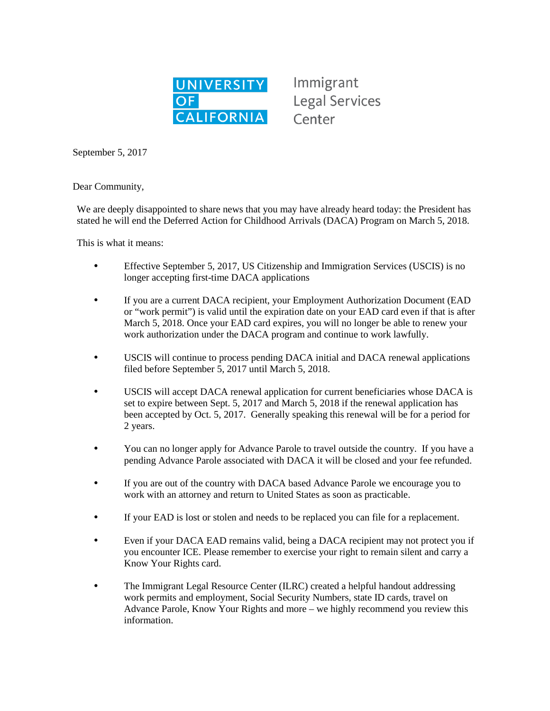

Immigrant **Legal Services** Center

September 5, 2017

Dear Community,

We are deeply disappointed to share news that you may have already heard today: the President has stated he will end the Deferred Action for Childhood Arrivals (DACA) Program on March 5, 2018.

This is what it means:

- Effective September 5, 2017, US Citizenship and Immigration Services (USCIS) is no longer accepting first-time DACA applications
- If you are a current DACA recipient, your Employment Authorization Document (EAD or "work permit") is valid until the expiration date on your EAD card even if that is after March 5, 2018. Once your EAD card expires, you will no longer be able to renew your work authorization under the DACA program and continue to work lawfully.
- USCIS will continue to process pending DACA initial and DACA renewal applications filed before September 5, 2017 until March 5, 2018.
- USCIS will accept DACA renewal application for current beneficiaries whose DACA is set to expire between Sept. 5, 2017 and March 5, 2018 if the renewal application has been accepted by Oct. 5, 2017. Generally speaking this renewal will be for a period for 2 years.
- You can no longer apply for Advance Parole to travel outside the country. If you have a pending Advance Parole associated with DACA it will be closed and your fee refunded.
- If you are out of the country with DACA based Advance Parole we encourage you to work with an attorney and return to United States as soon as practicable.
- If your EAD is lost or stolen and needs to be replaced you can file for a replacement.
- Even if your DACA EAD remains valid, being a DACA recipient may not protect you if you encounter ICE. Please remember to exercise your right to remain silent and carry a Know Your Rights card.
- The Immigrant Legal Resource Center (ILRC) created a helpful handout addressing work permits and employment, Social Security Numbers, state ID cards, travel on Advance Parole, Know Your Rights and more – we highly recommend you review this information.